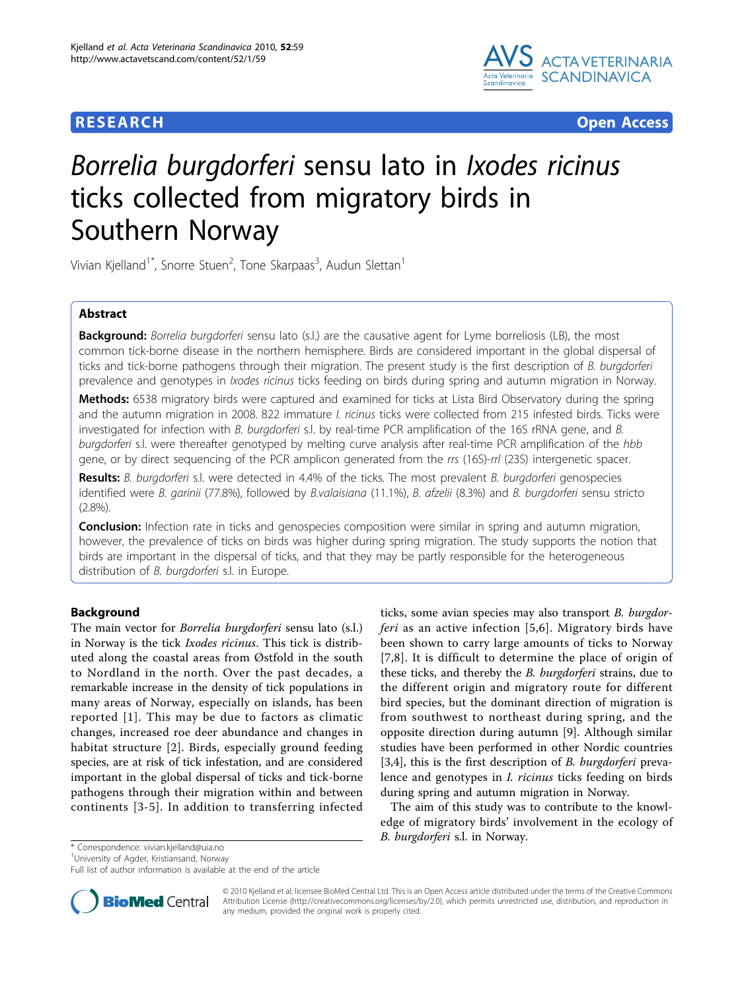

**RESEARCH CONSERVANCE CONSERVANCE CONSERVANCE CONSERVANCE CONSERVANCE CONSERVANCE CONSERVANCE CONSERVANCE CONSERVANCE CONSERVANCE CONSERVANCE CONSERVANCE CONSERVANCE CONSERVANCE CONSERVANCE CONSERVANCE CONSERVANCE CONSER** 

# Borrelia burgdorferi sensu lato in Ixodes ricinus ticks collected from migratory birds in Southern Norway

Vivian Kjelland<sup>1\*</sup>, Snorre Stuen<sup>2</sup>, Tone Skarpaas<sup>3</sup>, Audun Slettan<sup>1</sup>

# Abstract

Background: Borrelia burgdorferi sensu lato (s.l.) are the causative agent for Lyme borreliosis (LB), the most common tick-borne disease in the northern hemisphere. Birds are considered important in the global dispersal of ticks and tick-borne pathogens through their migration. The present study is the first description of B. burgdorferi prevalence and genotypes in Ixodes ricinus ticks feeding on birds during spring and autumn migration in Norway.

Methods: 6538 migratory birds were captured and examined for ticks at Lista Bird Observatory during the spring and the autumn migration in 2008. 822 immature *I. ricinus* ticks were collected from 215 infested birds. Ticks were investigated for infection with B. burgdorferi s.l. by real-time PCR amplification of the 16S rRNA gene, and B. burgdorferi s.l. were thereafter genotyped by melting curve analysis after real-time PCR amplification of the hbb gene, or by direct sequencing of the PCR amplicon generated from the rrs (16S)-rrl (23S) intergenetic spacer.

Results: B. burgdorferi s.l. were detected in 4.4% of the ticks. The most prevalent B. burgdorferi genospecies identified were B. garinii (77.8%), followed by B.valaisiana (11.1%), B. afzelii (8.3%) and B. burgdorferi sensu stricto (2.8%).

**Conclusion:** Infection rate in ticks and genospecies composition were similar in spring and autumn migration, however, the prevalence of ticks on birds was higher during spring migration. The study supports the notion that birds are important in the dispersal of ticks, and that they may be partly responsible for the heterogeneous distribution of B. burgdorferi s.l. in Europe.

# Background

The main vector for Borrelia burgdorferi sensu lato (s.l.) in Norway is the tick Ixodes ricinus. This tick is distributed along the coastal areas from Østfold in the south to Nordland in the north. Over the past decades, a remarkable increase in the density of tick populations in many areas of Norway, especially on islands, has been reported [[1](#page-5-0)]. This may be due to factors as climatic changes, increased roe deer abundance and changes in habitat structure [[2\]](#page-5-0). Birds, especially ground feeding species, are at risk of tick infestation, and are considered important in the global dispersal of ticks and tick-borne pathogens through their migration within and between continents [[3-5\]](#page-5-0). In addition to transferring infected

ticks, some avian species may also transport B. burgdorferi as an active infection [[5](#page-5-0),[6\]](#page-5-0). Migratory birds have been shown to carry large amounts of ticks to Norway [[7](#page-5-0),[8\]](#page-5-0). It is difficult to determine the place of origin of these ticks, and thereby the *B. burgdorferi* strains, due to the different origin and migratory route for different bird species, but the dominant direction of migration is from southwest to northeast during spring, and the opposite direction during autumn [[9\]](#page-5-0). Although similar studies have been performed in other Nordic countries [[3,4\]](#page-5-0), this is the first description of *B. burgdorferi* prevalence and genotypes in I. ricinus ticks feeding on birds during spring and autumn migration in Norway.

The aim of this study was to contribute to the knowledge of migratory birds' involvement in the ecology of B. burgdorferi s.l. in Norway. \* Correspondence: [vivian.kjelland@uia.no](mailto:vivian.kjelland@uia.no)

<sup>1</sup>University of Agder, Kristiansand, Norway

Full list of author information is available at the end of the article



© 2010 Kjelland et al; licensee BioMed Central Ltd. This is an Open Access article distributed under the terms of the Creative Commons Attribution License [\(http://creativecommons.org/licenses/by/2.0](http://creativecommons.org/licenses/by/2.0)), which permits unrestricted use, distribution, and reproduction in any medium, provided the original work is properly cited.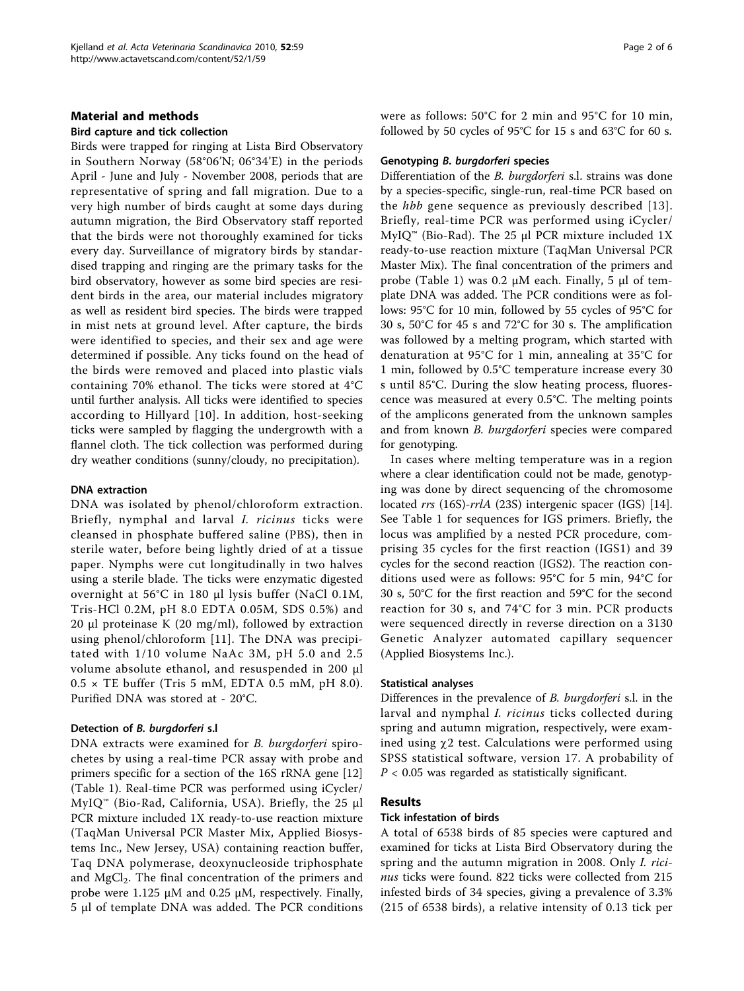# Material and methods

### Bird capture and tick collection

Birds were trapped for ringing at Lista Bird Observatory in Southern Norway (58°06'N; 06°34'E) in the periods April - June and July - November 2008, periods that are representative of spring and fall migration. Due to a very high number of birds caught at some days during autumn migration, the Bird Observatory staff reported that the birds were not thoroughly examined for ticks every day. Surveillance of migratory birds by standardised trapping and ringing are the primary tasks for the bird observatory, however as some bird species are resident birds in the area, our material includes migratory as well as resident bird species. The birds were trapped in mist nets at ground level. After capture, the birds were identified to species, and their sex and age were determined if possible. Any ticks found on the head of the birds were removed and placed into plastic vials containing 70% ethanol. The ticks were stored at 4°C until further analysis. All ticks were identified to species according to Hillyard [[10\]](#page-5-0). In addition, host-seeking ticks were sampled by flagging the undergrowth with a flannel cloth. The tick collection was performed during dry weather conditions (sunny/cloudy, no precipitation).

#### DNA extraction

DNA was isolated by phenol/chloroform extraction. Briefly, nymphal and larval I. ricinus ticks were cleansed in phosphate buffered saline (PBS), then in sterile water, before being lightly dried of at a tissue paper. Nymphs were cut longitudinally in two halves using a sterile blade. The ticks were enzymatic digested overnight at 56°C in 180 μl lysis buffer (NaCl 0.1M, Tris-HCl 0.2M, pH 8.0 EDTA 0.05M, SDS 0.5%) and 20 μl proteinase K (20 mg/ml), followed by extraction using phenol/chloroform [[11](#page-5-0)]. The DNA was precipitated with 1/10 volume NaAc 3M, pH 5.0 and 2.5 volume absolute ethanol, and resuspended in 200 μl  $0.5 \times$  TE buffer (Tris 5 mM, EDTA 0.5 mM, pH 8.0). Purified DNA was stored at - 20°C.

#### Detection of B. burgdorferi s.l

DNA extracts were examined for *B. burgdorferi* spirochetes by using a real-time PCR assay with probe and primers specific for a section of the 16S rRNA gene [[12](#page-5-0)] (Table [1\)](#page-2-0). Real-time PCR was performed using iCycler/  $MylQ<sup>™</sup>$  (Bio-Rad, California, USA). Briefly, the 25 μl PCR mixture included 1X ready-to-use reaction mixture (TaqMan Universal PCR Master Mix, Applied Biosystems Inc., New Jersey, USA) containing reaction buffer, Taq DNA polymerase, deoxynucleoside triphosphate and  $MgCl<sub>2</sub>$ . The final concentration of the primers and probe were 1.125 μM and 0.25 μM, respectively. Finally, 5 μl of template DNA was added. The PCR conditions were as follows: 50°C for 2 min and 95°C for 10 min, followed by 50 cycles of 95°C for 15 s and 63°C for 60 s.

#### Genotyping B. burgdorferi species

Differentiation of the *B. burgdorferi* s.l. strains was done by a species-specific, single-run, real-time PCR based on the *hbb* gene sequence as previously described [[13\]](#page-5-0). Briefly, real-time PCR was performed using iCycler/  $MyIQ<sup>™</sup>$  (Bio-Rad). The 25 μl PCR mixture included 1X ready-to-use reaction mixture (TaqMan Universal PCR Master Mix). The final concentration of the primers and probe (Table [1](#page-2-0)) was 0.2 μM each. Finally, 5 μl of template DNA was added. The PCR conditions were as follows: 95°C for 10 min, followed by 55 cycles of 95°C for 30 s, 50°C for 45 s and 72°C for 30 s. The amplification was followed by a melting program, which started with denaturation at 95°C for 1 min, annealing at 35°C for 1 min, followed by 0.5°C temperature increase every 30 s until 85°C. During the slow heating process, fluorescence was measured at every 0.5°C. The melting points of the amplicons generated from the unknown samples and from known B. burgdorferi species were compared for genotyping.

In cases where melting temperature was in a region where a clear identification could not be made, genotyping was done by direct sequencing of the chromosome located rrs (16S)-rrlA (23S) intergenic spacer (IGS) [\[14](#page-5-0)]. See Table [1](#page-2-0) for sequences for IGS primers. Briefly, the locus was amplified by a nested PCR procedure, comprising 35 cycles for the first reaction (IGS1) and 39 cycles for the second reaction (IGS2). The reaction conditions used were as follows: 95°C for 5 min, 94°C for 30 s, 50°C for the first reaction and 59°C for the second reaction for 30 s, and 74°C for 3 min. PCR products were sequenced directly in reverse direction on a 3130 Genetic Analyzer automated capillary sequencer (Applied Biosystems Inc.).

#### Statistical analyses

Differences in the prevalence of B. burgdorferi s.l. in the larval and nymphal *I. ricinus* ticks collected during spring and autumn migration, respectively, were examined using  $\chi$ 2 test. Calculations were performed using SPSS statistical software, version 17. A probability of  $P < 0.05$  was regarded as statistically significant.

### Results

#### Tick infestation of birds

A total of 6538 birds of 85 species were captured and examined for ticks at Lista Bird Observatory during the spring and the autumn migration in 2008. Only I. ricinus ticks were found. 822 ticks were collected from 215 infested birds of 34 species, giving a prevalence of 3.3% (215 of 6538 birds), a relative intensity of 0.13 tick per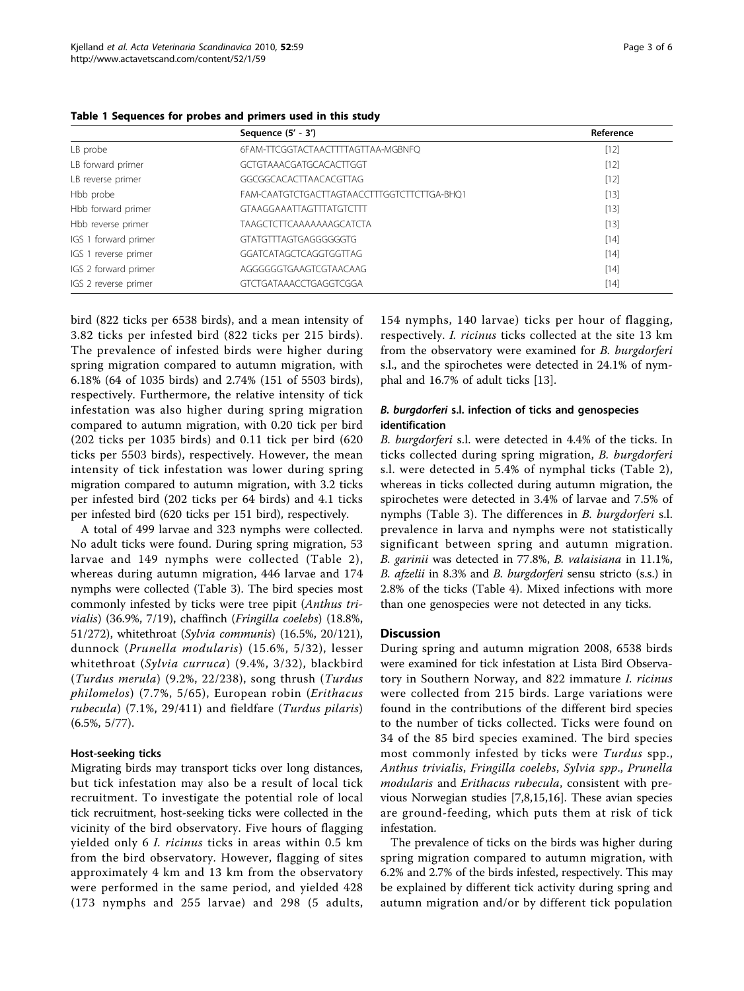|                      | Sequence $(5' - 3')$                        | Reference |
|----------------------|---------------------------------------------|-----------|
| LB probe             | 6FAM-TTCGGTACTAACTTTTAGTTAA-MGBNFQ          | $[12]$    |
| LB forward primer    | GCTGTAAACGATGCACACTTGGT                     | $[12]$    |
| LB reverse primer    | GGCGGCACACTTAACACGTTAG                      | $[12]$    |
| Hbb probe            | FAM-CAATGTCTGACTTAGTAACCTTTGGTCTTCTTGA-BHQ1 | $[13]$    |
| Hbb forward primer   | <b>GTAAGGAAATTAGTTTATGTCTTT</b>             | $[13]$    |
| Hbb reverse primer   | TAAGCTCTTCAAAAAAAGCATCTA                    | $[13]$    |
| IGS 1 forward primer | GTATGTTTAGTGAGGGGGGTG                       | $[14]$    |
| IGS 1 reverse primer | GGATCATAGCTCAGGTGGTTAG                      | $[14]$    |
| IGS 2 forward primer | AGGGGGGTGAAGTCGTAACAAG                      | $[14]$    |
| IGS 2 reverse primer | <b>GTCTGATAAACCTGAGGTCGGA</b>               | $[14]$    |

<span id="page-2-0"></span>Table 1 Sequences for probes and primers used in this study

bird (822 ticks per 6538 birds), and a mean intensity of 3.82 ticks per infested bird (822 ticks per 215 birds). The prevalence of infested birds were higher during spring migration compared to autumn migration, with 6.18% (64 of 1035 birds) and 2.74% (151 of 5503 birds), respectively. Furthermore, the relative intensity of tick infestation was also higher during spring migration compared to autumn migration, with 0.20 tick per bird (202 ticks per 1035 birds) and 0.11 tick per bird (620 ticks per 5503 birds), respectively. However, the mean intensity of tick infestation was lower during spring migration compared to autumn migration, with 3.2 ticks per infested bird (202 ticks per 64 birds) and 4.1 ticks per infested bird (620 ticks per 151 bird), respectively.

A total of 499 larvae and 323 nymphs were collected. No adult ticks were found. During spring migration, 53 larvae and 149 nymphs were collected (Table [2\)](#page-3-0), whereas during autumn migration, 446 larvae and 174 nymphs were collected (Table [3\)](#page-4-0). The bird species most commonly infested by ticks were tree pipit (Anthus trivialis) (36.9%, 7/19), chaffinch (Fringilla coelebs) (18.8%, 51/272), whitethroat (Sylvia communis) (16.5%, 20/121), dunnock (Prunella modularis) (15.6%, 5/32), lesser whitethroat (Sylvia curruca) (9.4%, 3/32), blackbird (Turdus merula) (9.2%, 22/238), song thrush (Turdus philomelos) (7.7%, 5/65), European robin (Erithacus rubecula) (7.1%, 29/411) and fieldfare (Turdus pilaris) (6.5%, 5/77).

# Host-seeking ticks

Migrating birds may transport ticks over long distances, but tick infestation may also be a result of local tick recruitment. To investigate the potential role of local tick recruitment, host-seeking ticks were collected in the vicinity of the bird observatory. Five hours of flagging yielded only 6 I. ricinus ticks in areas within 0.5 km from the bird observatory. However, flagging of sites approximately 4 km and 13 km from the observatory were performed in the same period, and yielded 428 (173 nymphs and 255 larvae) and 298 (5 adults,

154 nymphs, 140 larvae) ticks per hour of flagging, respectively. I. ricinus ticks collected at the site 13 km from the observatory were examined for B. burgdorferi s.l., and the spirochetes were detected in 24.1% of nymphal and 16.7% of adult ticks [[13](#page-5-0)].

# B. burgdorferi s.l. infection of ticks and genospecies identification

B. burgdorferi s.l. were detected in 4.4% of the ticks. In ticks collected during spring migration, B. burgdorferi s.l. were detected in 5.4% of nymphal ticks (Table [2](#page-3-0)), whereas in ticks collected during autumn migration, the spirochetes were detected in 3.4% of larvae and 7.5% of nymphs (Table [3\)](#page-4-0). The differences in *B. burgdorferi* s.l. prevalence in larva and nymphs were not statistically significant between spring and autumn migration. B. garinii was detected in 77.8%, B. valaisiana in 11.1%, B. afzelii in 8.3% and B. burgdorferi sensu stricto (s.s.) in 2.8% of the ticks (Table [4\)](#page-4-0). Mixed infections with more than one genospecies were not detected in any ticks.

### **Discussion**

During spring and autumn migration 2008, 6538 birds were examined for tick infestation at Lista Bird Observatory in Southern Norway, and 822 immature *I. ricinus* were collected from 215 birds. Large variations were found in the contributions of the different bird species to the number of ticks collected. Ticks were found on 34 of the 85 bird species examined. The bird species most commonly infested by ticks were Turdus spp., Anthus trivialis, Fringilla coelebs, Sylvia spp., Prunella modularis and Erithacus rubecula, consistent with previous Norwegian studies [\[7](#page-5-0),[8,15,16\]](#page-5-0). These avian species are ground-feeding, which puts them at risk of tick infestation.

The prevalence of ticks on the birds was higher during spring migration compared to autumn migration, with 6.2% and 2.7% of the birds infested, respectively. This may be explained by different tick activity during spring and autumn migration and/or by different tick population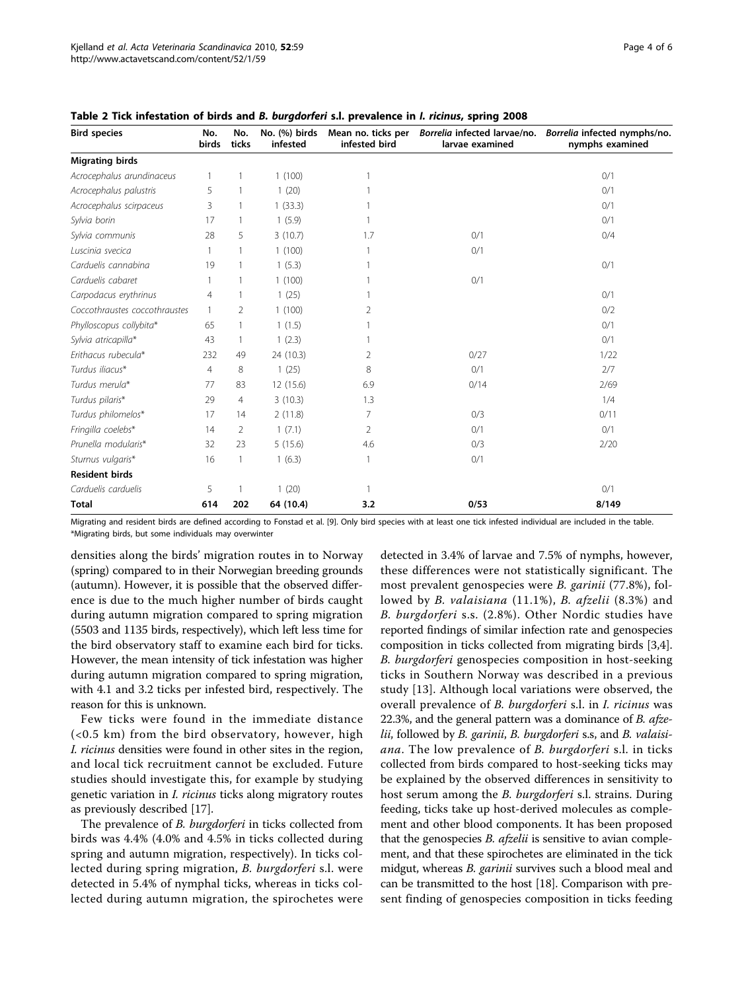| <b>Bird species</b>           | No.<br>birds   | No.<br>ticks  | No. (%) birds<br>infested | Mean no. ticks per<br>infested bird | Borrelia infected larvae/no.<br>larvae examined | Borrelia infected nymphs/no.<br>nymphs examined |  |  |
|-------------------------------|----------------|---------------|---------------------------|-------------------------------------|-------------------------------------------------|-------------------------------------------------|--|--|
| <b>Migrating birds</b>        |                |               |                           |                                     |                                                 |                                                 |  |  |
| Acrocephalus arundinaceus     |                |               | 1(100)                    |                                     |                                                 | 0/1                                             |  |  |
| Acrocephalus palustris        | 5              |               | 1(20)                     |                                     |                                                 | 0/1                                             |  |  |
| Acrocephalus scirpaceus       | 3              | 1             | 1(33.3)                   |                                     |                                                 | 0/1                                             |  |  |
| Sylvia borin                  | 17             | 1             | 1(5.9)                    |                                     |                                                 | 0/1                                             |  |  |
| Sylvia communis               | 28             | 5             | 3(10.7)                   | 1.7                                 | 0/1                                             | 0/4                                             |  |  |
| Luscinia svecica              |                |               | 1(100)                    |                                     | 0/1                                             |                                                 |  |  |
| Carduelis cannabina           | 19             |               | 1(5.3)                    |                                     |                                                 | 0/1                                             |  |  |
| Carduelis cabaret             |                |               | 1(100)                    |                                     | 0/1                                             |                                                 |  |  |
| Carpodacus erythrinus         | $\overline{4}$ |               | 1(25)                     |                                     |                                                 | 0/1                                             |  |  |
| Coccothraustes coccothraustes |                | $\mathcal{P}$ | 1(100)                    | 2                                   |                                                 | 0/2                                             |  |  |
| Phylloscopus collybita*       | 65             |               | 1(1.5)                    |                                     |                                                 | 0/1                                             |  |  |
| Sylvia atricapilla*           | 43             | 1             | 1(2.3)                    |                                     |                                                 | 0/1                                             |  |  |
| Erithacus rubecula*           | 232            | 49            | 24 (10.3)                 | 2                                   | 0/27                                            | 1/22                                            |  |  |
| Turdus iliacus*               | $\overline{4}$ | 8             | 1(25)                     | 8                                   | 0/1                                             | 2/7                                             |  |  |
| Turdus merula*                | 77             | 83            | 12 (15.6)                 | 6.9                                 | 0/14                                            | 2/69                                            |  |  |
| Turdus pilaris*               | 29             | 4             | 3(10.3)                   | 1.3                                 |                                                 | 1/4                                             |  |  |
| Turdus philomelos*            | 17             | 14            | 2(11.8)                   | 7                                   | 0/3                                             | 0/11                                            |  |  |
| Fringilla coelebs*            | 14             | 2             | 1(7.1)                    | 2                                   | 0/1                                             | 0/1                                             |  |  |
| Prunella modularis*           | 32             | 23            | 5(15.6)                   | 4.6                                 | 0/3                                             | 2/20                                            |  |  |
| Sturnus vulgaris*             | 16             | 1             | 1(6.3)                    | 1                                   | 0/1                                             |                                                 |  |  |
| <b>Resident birds</b>         |                |               |                           |                                     |                                                 |                                                 |  |  |
| Carduelis carduelis           | 5              |               | 1(20)                     | 1                                   |                                                 | 0/1                                             |  |  |
| <b>Total</b>                  | 614            | 202           | 64 (10.4)                 | 3.2                                 | 0/53                                            | 8/149                                           |  |  |
|                               |                |               |                           |                                     |                                                 |                                                 |  |  |

<span id="page-3-0"></span>Table 2 Tick infestation of birds and B. burgdorferi s.l. prevalence in I. ricinus, spring 2008

Migrating and resident birds are defined according to Fonstad et al. [[9](#page-5-0)]. Only bird species with at least one tick infested individual are included in the table. \*Migrating birds, but some individuals may overwinter

densities along the birds' migration routes in to Norway (spring) compared to in their Norwegian breeding grounds (autumn). However, it is possible that the observed difference is due to the much higher number of birds caught during autumn migration compared to spring migration (5503 and 1135 birds, respectively), which left less time for the bird observatory staff to examine each bird for ticks. However, the mean intensity of tick infestation was higher during autumn migration compared to spring migration, with 4.1 and 3.2 ticks per infested bird, respectively. The reason for this is unknown.

Few ticks were found in the immediate distance (<0.5 km) from the bird observatory, however, high I. ricinus densities were found in other sites in the region, and local tick recruitment cannot be excluded. Future studies should investigate this, for example by studying genetic variation in I. ricinus ticks along migratory routes as previously described [\[17\]](#page-5-0).

The prevalence of *B. burgdorferi* in ticks collected from birds was 4.4% (4.0% and 4.5% in ticks collected during spring and autumn migration, respectively). In ticks collected during spring migration, B. burgdorferi s.l. were detected in 5.4% of nymphal ticks, whereas in ticks collected during autumn migration, the spirochetes were detected in 3.4% of larvae and 7.5% of nymphs, however, these differences were not statistically significant. The most prevalent genospecies were B. garinii (77.8%), followed by B. valaisiana (11.1%), B. afzelii (8.3%) and B. burgdorferi s.s. (2.8%). Other Nordic studies have reported findings of similar infection rate and genospecies composition in ticks collected from migrating birds [\[3,4](#page-5-0)]. B. burgdorferi genospecies composition in host-seeking ticks in Southern Norway was described in a previous study [\[13](#page-5-0)]. Although local variations were observed, the overall prevalence of B. burgdorferi s.l. in I. ricinus was 22.3%, and the general pattern was a dominance of B. afzelii, followed by B. garinii, B. burgdorferi s.s, and B. valaisiana. The low prevalence of B. burgdorferi s.l. in ticks collected from birds compared to host-seeking ticks may be explained by the observed differences in sensitivity to host serum among the *B. burgdorferi* s.l. strains. During feeding, ticks take up host-derived molecules as complement and other blood components. It has been proposed that the genospecies *B. afzelii* is sensitive to avian complement, and that these spirochetes are eliminated in the tick midgut, whereas B. garinii survives such a blood meal and can be transmitted to the host [\[18\]](#page-5-0). Comparison with present finding of genospecies composition in ticks feeding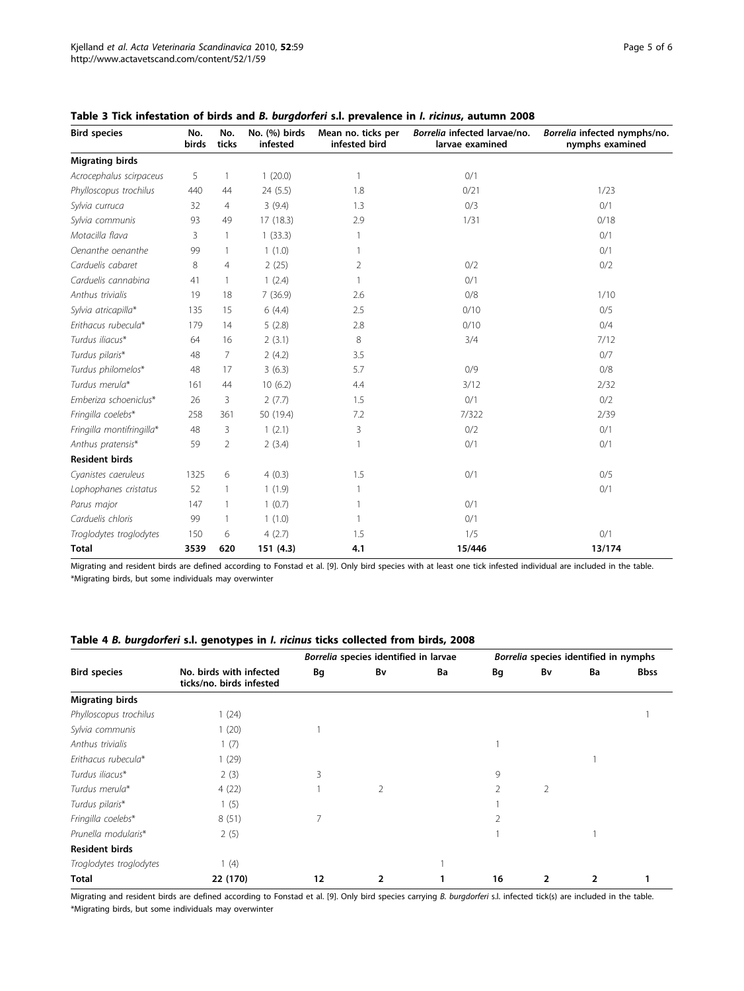| <b>Bird species</b><br>No.<br>No.<br>birds<br>ticks |      | No. (%) birds<br>infested | Mean no. ticks per<br>infested bird | Borrelia infected larvae/no.<br>larvae examined | Borrelia infected nymphs/no.<br>nymphs examined |        |  |  |
|-----------------------------------------------------|------|---------------------------|-------------------------------------|-------------------------------------------------|-------------------------------------------------|--------|--|--|
| <b>Migrating birds</b>                              |      |                           |                                     |                                                 |                                                 |        |  |  |
| Acrocephalus scirpaceus                             | 5    |                           | 1(20.0)                             | 1                                               | 0/1                                             |        |  |  |
| Phylloscopus trochilus                              | 440  | 44                        | 24 (5.5)                            | 1.8                                             | 0/21                                            | 1/23   |  |  |
| Sylvia curruca                                      | 32   | 4                         | 3(9.4)                              | 1.3                                             | 0/3                                             | 0/1    |  |  |
| Sylvia communis                                     | 93   | 49                        | 17(18.3)                            | 2.9                                             | 1/31                                            | 0/18   |  |  |
| Motacilla flava                                     | 3    |                           | 1(33.3)                             |                                                 |                                                 | 0/1    |  |  |
| Oenanthe oenanthe                                   | 99   | 1                         | 1(1.0)                              |                                                 |                                                 | 0/1    |  |  |
| Carduelis cabaret                                   | 8    | 4                         | 2(25)                               | 2                                               | 0/2                                             | 0/2    |  |  |
| Carduelis cannabina                                 | 41   | 1                         | 1(2.4)                              |                                                 | 0/1                                             |        |  |  |
| Anthus trivialis                                    | 19   | 18                        | 7 (36.9)                            | 2.6                                             | 0/8                                             | 1/10   |  |  |
| Sylvia atricapilla*                                 | 135  | 15                        | 6(4.4)                              | 2.5                                             | 0/10                                            | 0/5    |  |  |
| Erithacus rubecula*                                 | 179  | 14                        | 5(2.8)                              | 2.8                                             | 0/10                                            | 0/4    |  |  |
| Turdus iliacus*                                     | 64   | 16                        | 2(3.1)                              | 8                                               | 3/4                                             | 7/12   |  |  |
| Turdus pilaris*                                     | 48   | 7                         | 2(4.2)                              | 3.5                                             |                                                 | 0/7    |  |  |
| Turdus philomelos*                                  | 48   | 17                        | 3(6.3)                              | 5.7                                             | 0/9                                             | 0/8    |  |  |
| Turdus merula*                                      | 161  | 44                        | 10(6.2)                             | 4.4                                             | 3/12                                            | 2/32   |  |  |
| Emberiza schoeniclus*                               | 26   | 3                         | 2(7.7)                              | 1.5                                             | 0/1                                             | 0/2    |  |  |
| Fringilla coelebs*                                  | 258  | 361                       | 50 (19.4)                           | 7.2                                             | 7/322                                           | 2/39   |  |  |
| Fringilla montifringilla*                           | 48   | 3                         | 1(2.1)                              | 0/2<br>3                                        |                                                 | 0/1    |  |  |
| Anthus pratensis*                                   | 59   | $\overline{2}$            | 2(3.4)                              |                                                 | 0/1                                             | 0/1    |  |  |
| <b>Resident birds</b>                               |      |                           |                                     |                                                 |                                                 |        |  |  |
| Cyanistes caeruleus                                 | 1325 | 6                         | 4(0.3)                              | 1.5                                             | 0/1                                             | 0/5    |  |  |
| Lophophanes cristatus                               | 52   | 1                         | 1(1.9)                              |                                                 |                                                 | 0/1    |  |  |
| Parus major                                         | 147  |                           | 1(0.7)                              |                                                 | 0/1                                             |        |  |  |
| Carduelis chloris                                   | 99   | 1                         | 1(1.0)                              | 1                                               | 0/1                                             |        |  |  |
| Troglodytes troglodytes                             | 150  | 6                         | 4(2.7)                              | 1.5                                             | 1/5                                             | 0/1    |  |  |
| <b>Total</b>                                        | 3539 | 620                       | 151(4.3)                            | 4.1                                             | 15/446                                          | 13/174 |  |  |

<span id="page-4-0"></span>Table 3 Tick infestation of birds and B. burgdorferi s.l. prevalence in I. ricinus, autumn 2008

Migrating and resident birds are defined according to Fonstad et al. [[9](#page-5-0)]. Only bird species with at least one tick infested individual are included in the table. \*Migrating birds, but some individuals may overwinter

# Table 4 B. burgdorferi s.l. genotypes in I. ricinus ticks collected from birds, 2008

| <b>Bird species</b>     |                                                     | Borrelia species identified in larvae |                |    | Borrelia species identified in nymphs |                |    |             |
|-------------------------|-----------------------------------------------------|---------------------------------------|----------------|----|---------------------------------------|----------------|----|-------------|
|                         | No. birds with infected<br>ticks/no. birds infested | Bg                                    | Bv             | Ba | Bg                                    | Bv             | Ba | <b>Bbss</b> |
| <b>Migrating birds</b>  |                                                     |                                       |                |    |                                       |                |    |             |
| Phylloscopus trochilus  | 1(24)                                               |                                       |                |    |                                       |                |    |             |
| Sylvia communis         | 1(20)                                               |                                       |                |    |                                       |                |    |             |
| Anthus trivialis        | 1(7)                                                |                                       |                |    |                                       |                |    |             |
| Erithacus rubecula*     | 1 (29)                                              |                                       |                |    |                                       |                |    |             |
| Turdus iliacus*         | 2(3)                                                | 3                                     |                |    | 9                                     |                |    |             |
| Turdus merula*          | 4(22)                                               |                                       | $\overline{2}$ |    |                                       | $\overline{2}$ |    |             |
| Turdus pilaris*         | 1(5)                                                |                                       |                |    |                                       |                |    |             |
| Fringilla coelebs*      | 8(51)                                               | 7                                     |                |    |                                       |                |    |             |
| Prunella modularis*     | 2(5)                                                |                                       |                |    |                                       |                |    |             |
| <b>Resident birds</b>   |                                                     |                                       |                |    |                                       |                |    |             |
| Troglodytes troglodytes | 1(4)                                                |                                       |                |    |                                       |                |    |             |
| Total                   | 22 (170)                                            | 12                                    | $\overline{2}$ |    | 16                                    | 2              | 2  |             |

Migrating and resident birds are defined according to Fonstad et al. [[9](#page-5-0)]. Only bird species carrying B. burgdorferi s.l. infected tick(s) are included in the table. \*Migrating birds, but some individuals may overwinter